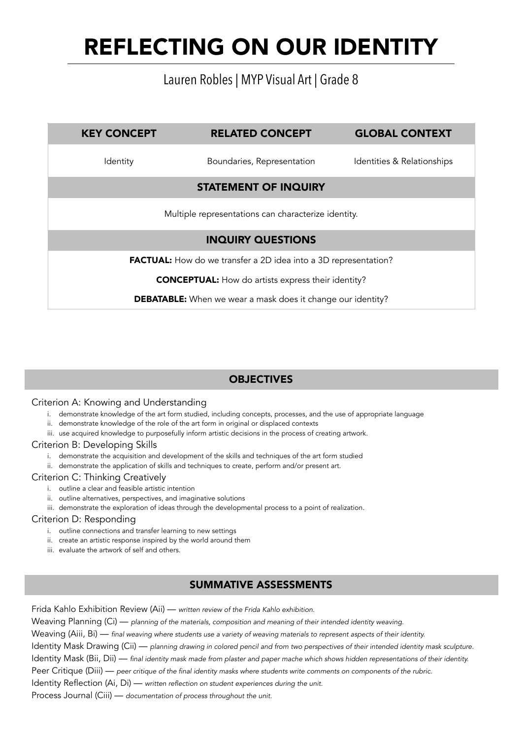## Lauren Robles | MYP Visual Art | Grade 8

# KEY CONCEPT RELATED CONCEPT GLOBAL CONTEXT Identity **Boundaries, Representation** Identities & Relationships STATEMENT OF INQUIRY Multiple representations can characterize identity. INQUIRY QUESTIONS FACTUAL: How do we transfer a 2D idea into a 3D representation?

CONCEPTUAL: How do artists express their identity?

DEBATABLE: When we wear a mask does it change our identity?

### **OBJECTIVES**

#### Criterion A: Knowing and Understanding

- i. demonstrate knowledge of the art form studied, including concepts, processes, and the use of appropriate language
- ii. demonstrate knowledge of the role of the art form in original or displaced contexts
- iii. use acquired knowledge to purposefully inform artistic decisions in the process of creating artwork.

#### Criterion B: Developing Skills

- i. demonstrate the acquisition and development of the skills and techniques of the art form studied
- ii. demonstrate the application of skills and techniques to create, perform and/or present art.

#### Criterion C: Thinking Creatively

- i. outline a clear and feasible artistic intention
- ii. outline alternatives, perspectives, and imaginative solutions
- iii. demonstrate the exploration of ideas through the developmental process to a point of realization.

#### Criterion D: Responding

- i. outline connections and transfer learning to new settings
- ii. create an artistic response inspired by the world around them
- iii. evaluate the artwork of self and others.

### SUMMATIVE ASSESSMENTS

Frida Kahlo Exhibition Review (Aii) — *written review of the Frida Kahlo exhibition.*  Weaving Planning (Ci) — *planning of the materials, composition and meaning of their intended identity weaving.*  Weaving (Aiii, Bi) — *final weaving where students use a variety of weaving materials to represent aspects of their identity.*  Identity Mask Drawing (Cii) — *planning drawing in colored pencil and from two perspectives of their intended identity mask sculpture.*  Identity Mask (Bii, Dii) — *final identity mask made from plaster and paper mache which shows hidden representations of their identity.*  Peer Critique (Diii) — *peer critique of the final identity masks where students write comments on components of the rubric.*  Identity Reflection (Ai, Di) — *written reflection on student experiences during the unit.* Process Journal (Ciii) — *documentation of process throughout the unit.*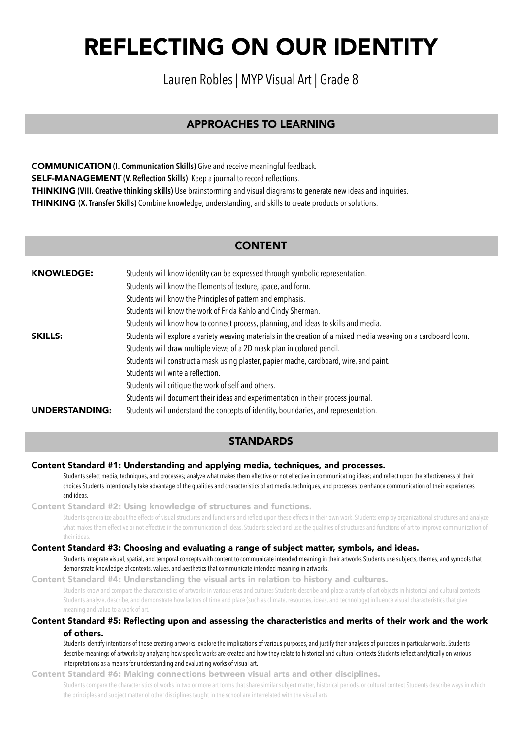## Lauren Robles | MYP Visual Art | Grade 8

### APPROACHES TO LEARNING

COMMUNICATION **(I. Communication Skills)** Give and receive meaningful feedback. SELF-MANAGEMENT **(V. Reflection Skills)** Keep a journal to record reflections. THINKING **(VIII. Creative thinking skills)** Use brainstorming and visual diagrams to generate new ideas and inquiries. THINKING **(X. Transfer Skills)** Combine knowledge, understanding, and skills to create products or solutions.

### CONTENT

| <b>KNOWLEDGE:</b>     | Students will know identity can be expressed through symbolic representation.                                   |
|-----------------------|-----------------------------------------------------------------------------------------------------------------|
|                       | Students will know the Elements of texture, space, and form.                                                    |
|                       | Students will know the Principles of pattern and emphasis.                                                      |
|                       | Students will know the work of Frida Kahlo and Cindy Sherman.                                                   |
|                       | Students will know how to connect process, planning, and ideas to skills and media.                             |
| <b>SKILLS:</b>        | Students will explore a variety weaving materials in the creation of a mixed media weaving on a cardboard loom. |
|                       | Students will draw multiple views of a 2D mask plan in colored pencil.                                          |
|                       | Students will construct a mask using plaster, papier mache, cardboard, wire, and paint.                         |
|                       | Students will write a reflection.                                                                               |
|                       | Students will critique the work of self and others.                                                             |
|                       | Students will document their ideas and experimentation in their process journal.                                |
| <b>UNDERSTANDING:</b> | Students will understand the concepts of identity, boundaries, and representation.                              |

### **STANDARDS**

#### Content Standard #1: Understanding and applying media, techniques, and processes.

 Students select media, techniques, and processes; analyze what makes them effective or not effective in communicating ideas; and reflect upon the effectiveness of their choices Students intentionally take advantage of the qualities and characteristics of art media, techniques, and processes to enhance communication of their experiences and ideas.

Content Standard #2: Using knowledge of structures and functions.

 Students generalize about the effects of visual structures and functions and reflect upon these effects in their own work. Students employ organizational structures and analyze what makes them effective or not effective in the communication of ideas. Students select and use the qualities of structures and functions of art to improve communication of their ideas.

#### Content Standard #3: Choosing and evaluating a range of subject matter, symbols, and ideas.

 Students integrate visual, spatial, and temporal concepts with content to communicate intended meaning in their artworks Students use subjects, themes, and symbols that demonstrate knowledge of contexts, values, and aesthetics that communicate intended meaning in artworks.

Content Standard #4: Understanding the visual arts in relation to history and cultures. Students know and compare the characteristics of artworks in various eras and cultures Students describe and place a variety of art objects in historical and cultural contexts

 Students analyze, describe, and demonstrate how factors of time and place (such as climate, resources, ideas, and technology) influence visual characteristics that give meaning and value to a work of art.

#### Content Standard #5: Reflecting upon and assessing the characteristics and merits of their work and the work of others.

 Students identify intentions of those creating artworks, explore the implications of various purposes, and justify their analyses of purposes in particular works. Students describe meanings of artworks by analyzing how specific works are created and how they relate to historical and cultural contexts Students reflect analytically on various interpretations as a means for understanding and evaluating works of visual art.

Content Standard #6: Making connections between visual arts and other disciplines.

 Students compare the characteristics of works in two or more art forms that share similar subject matter, historical periods, or cultural context Students describe ways in which the principles and subject matter of other disciplines taught in the school are interrelated with the visual arts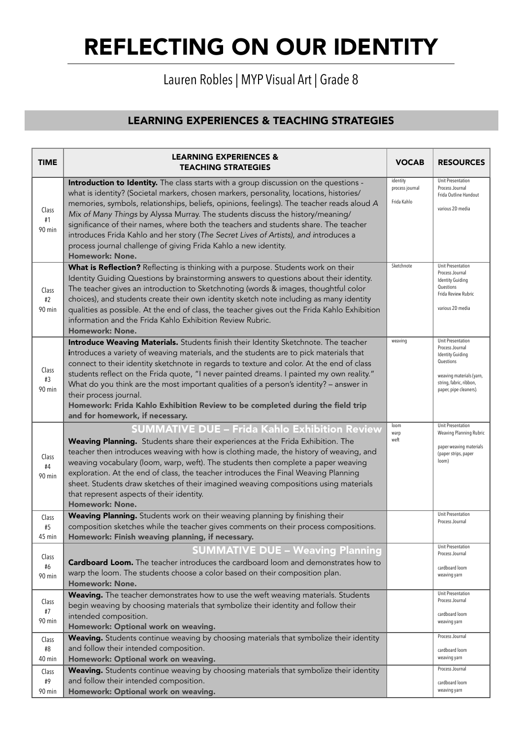# Lauren Robles | MYP Visual Art | Grade 8

| <b>TIME</b>           | <b>LEARNING EXPERIENCES &amp;</b><br><b>TEACHING STRATEGIES</b>                                                                                                                                                                                                                                                                                                                                                                                                                                                                                                                                                                       | <b>VOCAB</b>                               | <b>RESOURCES</b>                                                                                                                                              |
|-----------------------|---------------------------------------------------------------------------------------------------------------------------------------------------------------------------------------------------------------------------------------------------------------------------------------------------------------------------------------------------------------------------------------------------------------------------------------------------------------------------------------------------------------------------------------------------------------------------------------------------------------------------------------|--------------------------------------------|---------------------------------------------------------------------------------------------------------------------------------------------------------------|
| Class<br>#1<br>90 min | Introduction to Identity. The class starts with a group discussion on the questions -<br>what is identity? (Societal markers, chosen markers, personality, locations, histories/<br>memories, symbols, relationships, beliefs, opinions, feelings). The teacher reads aloud A<br>Mix of Many Things by Alyssa Murray. The students discuss the history/meaning/<br>significance of their names, where both the teachers and students share. The teacher<br>introduces Frida Kahlo and her story (The Secret Lives of Artists), and introduces a<br>process journal challenge of giving Frida Kahlo a new identity.<br>Homework: None. | identity<br>process journal<br>Frida Kahlo | Unit Presentation<br>Process Journal<br>Frida Outline Handout<br>various 2D media                                                                             |
| Class<br>#2<br>90 min | What is Reflection? Reflecting is thinking with a purpose. Students work on their<br>Identity Guiding Questions by brainstorming answers to questions about their identity.<br>The teacher gives an introduction to Sketchnoting (words & images, thoughtful color<br>choices), and students create their own identity sketch note including as many identity<br>qualities as possible. At the end of class, the teacher gives out the Frida Kahlo Exhibition<br>information and the Frida Kahlo Exhibition Review Rubric.<br><b>Homework: None.</b>                                                                                  | Sketchnote                                 | <b>Unit Presentation</b><br>Process Journal<br><b>Identity Guiding</b><br>Questions<br>Frida Review Rubric<br>various 2D media                                |
| Class<br>#3<br>90 min | Introduce Weaving Materials. Students finish their Identity Sketchnote. The teacher<br>introduces a variety of weaving materials, and the students are to pick materials that<br>connect to their identity sketchnote in regards to texture and color. At the end of class<br>students reflect on the Frida quote, "I never painted dreams. I painted my own reality."<br>What do you think are the most important qualities of a person's identity? - answer in<br>their process journal.<br>Homework: Frida Kahlo Exhibition Review to be completed during the field trip<br>and for homework, if necessary.                        | weaving                                    | Unit Presentation<br>Process Journal<br><b>Identity Guiding</b><br>Questions<br>weaving materials (yarn,<br>string, fabric, ribbon,<br>paper, pipe cleaners). |
| Class<br>#4<br>90 min | <b>SUMMATIVE DUE - Frida Kahlo Exhibition Review</b><br>Weaving Planning. Students share their experiences at the Frida Exhibition. The<br>teacher then introduces weaving with how is clothing made, the history of weaving, and<br>weaving vocabulary (loom, warp, weft). The students then complete a paper weaving<br>exploration. At the end of class, the teacher introduces the Final Weaving Planning<br>sheet. Students draw sketches of their imagined weaving compositions using materials<br>that represent aspects of their identity.<br><b>Homework: None.</b>                                                          | loom<br>warp<br>weft                       | Unit Presentation<br><b>Weaving Planning Rubric</b><br>paper weaving materials<br>(paper strips, paper<br>loom)                                               |
| Class<br>#5<br>45 min | Weaving Planning. Students work on their weaving planning by finishing their<br>composition sketches while the teacher gives comments on their process compositions.<br>Homework: Finish weaving planning, if necessary.                                                                                                                                                                                                                                                                                                                                                                                                              |                                            | Unit Presentation<br>Process Journal                                                                                                                          |
| Class<br>#6<br>90 min | <b>SUMMATIVE DUE - Weaving Planning</b><br>Cardboard Loom. The teacher introduces the cardboard loom and demonstrates how to<br>warp the loom. The students choose a color based on their composition plan.<br><b>Homework: None.</b>                                                                                                                                                                                                                                                                                                                                                                                                 |                                            | Unit Presentation<br>Process Journal<br>cardboard loom<br>weaving yarn                                                                                        |
| Class<br>#7<br>90 min | Weaving. The teacher demonstrates how to use the weft weaving materials. Students<br>begin weaving by choosing materials that symbolize their identity and follow their<br>intended composition.<br>Homework: Optional work on weaving.                                                                                                                                                                                                                                                                                                                                                                                               |                                            | Unit Presentation<br>Process Journal<br>cardboard loom<br>weaving yarn                                                                                        |
| Class<br>#8<br>40 min | Weaving. Students continue weaving by choosing materials that symbolize their identity<br>and follow their intended composition.<br>Homework: Optional work on weaving.                                                                                                                                                                                                                                                                                                                                                                                                                                                               |                                            | Process Journal<br>cardboard loom<br>weaving yarn                                                                                                             |
| Class<br>#9<br>90 min | Weaving. Students continue weaving by choosing materials that symbolize their identity<br>and follow their intended composition.<br>Homework: Optional work on weaving.                                                                                                                                                                                                                                                                                                                                                                                                                                                               |                                            | Process Journal<br>cardboard loom<br>weaving yarn                                                                                                             |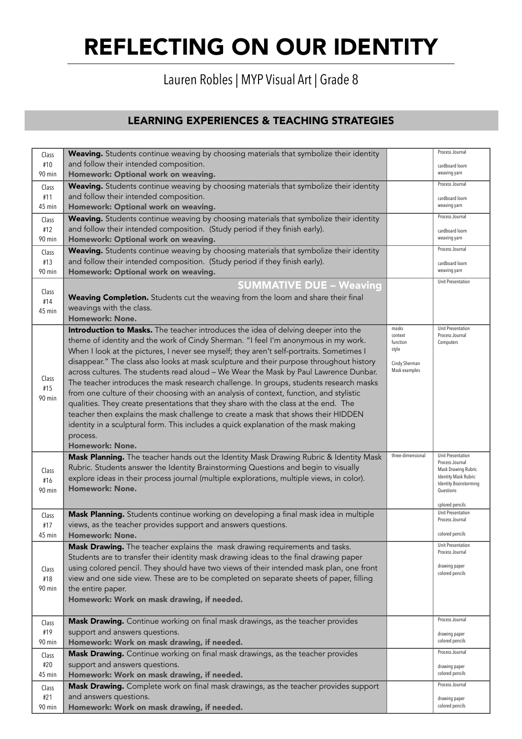## Lauren Robles | MYP Visual Art | Grade 8

| Class  | Weaving. Students continue weaving by choosing materials that symbolize their identity    |                     | Process Journal                                              |
|--------|-------------------------------------------------------------------------------------------|---------------------|--------------------------------------------------------------|
| #10    | and follow their intended composition.                                                    |                     | cardboard loom                                               |
| 90 min | Homework: Optional work on weaving.                                                       |                     | weaving yarn                                                 |
| Class  | Weaving. Students continue weaving by choosing materials that symbolize their identity    |                     | Process Journal                                              |
| #11    | and follow their intended composition.                                                    |                     | cardboard loom                                               |
| 45 min | Homework: Optional work on weaving.                                                       |                     | weaving yarn                                                 |
| Class  | Weaving. Students continue weaving by choosing materials that symbolize their identity    |                     | Process Journal                                              |
| #12    | and follow their intended composition. (Study period if they finish early).               |                     | cardboard loom                                               |
| 90 min | Homework: Optional work on weaving.                                                       |                     | weaving yarn                                                 |
| Class  | Weaving. Students continue weaving by choosing materials that symbolize their identity    |                     | Process Journal                                              |
| #13    | and follow their intended composition. (Study period if they finish early).               |                     | cardboard loom                                               |
| 90 min | Homework: Optional work on weaving.                                                       |                     | weaving yarn                                                 |
|        | <b>SUMMATIVE DUE - Weaving</b>                                                            |                     | Unit Presentation                                            |
| Class  | Weaving Completion. Students cut the weaving from the loom and share their final          |                     |                                                              |
| #14    | weavings with the class.                                                                  |                     |                                                              |
| 45 min | Homework: None.                                                                           |                     |                                                              |
|        | Introduction to Masks. The teacher introduces the idea of delving deeper into the         | masks               | Unit Presentation                                            |
|        | theme of identity and the work of Cindy Sherman. "I feel I'm anonymous in my work.        | context<br>function | Process Journal<br>Computers                                 |
|        | When I look at the pictures, I never see myself; they aren't self-portraits. Sometimes I  | style               |                                                              |
|        | disappear." The class also looks at mask sculpture and their purpose throughout history   | Cindy Sherman       |                                                              |
|        | across cultures. The students read aloud - We Wear the Mask by Paul Lawrence Dunbar.      | Mask examples       |                                                              |
| Class  | The teacher introduces the mask research challenge. In groups, students research masks    |                     |                                                              |
| #15    | from one culture of their choosing with an analysis of context, function, and stylistic   |                     |                                                              |
| 90 min | qualities. They create presentations that they share with the class at the end. The       |                     |                                                              |
|        | teacher then explains the mask challenge to create a mask that shows their HIDDEN         |                     |                                                              |
|        | identity in a sculptural form. This includes a quick explanation of the mask making       |                     |                                                              |
|        | process.                                                                                  |                     |                                                              |
|        | <b>Homework: None.</b>                                                                    |                     |                                                              |
|        | Mask Planning. The teacher hands out the Identity Mask Drawing Rubric & Identity Mask     | three-dimensional   | Unit Presentation                                            |
| Class  | Rubric. Students answer the Identity Brainstorming Questions and begin to visually        |                     | Process Journal<br>Mask Drawing Rubric                       |
| #16    | explore ideas in their process journal (multiple explorations, multiple views, in color). |                     | <b>Identity Mask Rubric</b><br><b>Identity Brainstorming</b> |
| 90 min | <b>Homework: None.</b>                                                                    |                     | Questions                                                    |
|        |                                                                                           |                     | cplored pencils                                              |
| Class  | Mask Planning. Students continue working on developing a final mask idea in multiple      |                     | Unit Presentation                                            |
| #17    | views, as the teacher provides support and answers questions.                             |                     | Process Journal                                              |
| 45 min | <b>Homework: None.</b>                                                                    |                     | colored pencils                                              |
|        | Mask Drawing. The teacher explains the mask drawing requirements and tasks.               |                     | Unit Presentation                                            |
|        | Students are to transfer their identity mask drawing ideas to the final drawing paper     |                     | Process Journal                                              |
| Class  | using colored pencil. They should have two views of their intended mask plan, one front   |                     | drawing paper                                                |
| #18    | view and one side view. These are to be completed on separate sheets of paper, filling    |                     | colored pencils                                              |
| 90 min | the entire paper.                                                                         |                     |                                                              |
|        | Homework: Work on mask drawing, if needed.                                                |                     |                                                              |
|        |                                                                                           |                     |                                                              |
| Class  | Mask Drawing. Continue working on final mask drawings, as the teacher provides            |                     | Process Journal                                              |
| #19    | support and answers questions.                                                            |                     | drawing paper                                                |
| 90 min | Homework: Work on mask drawing, if needed.                                                |                     | colored pencils                                              |
| Class  | Mask Drawing. Continue working on final mask drawings, as the teacher provides            |                     | Process Journal                                              |
| #20    | support and answers questions.                                                            |                     | drawing paper                                                |
| 45 min | Homework: Work on mask drawing, if needed.                                                |                     | colored pencils                                              |
| Class  | Mask Drawing. Complete work on final mask drawings, as the teacher provides support       |                     | Process Journal                                              |
| #21    | and answers questions.                                                                    |                     | drawing paper                                                |
| 90 min | Homework: Work on mask drawing, if needed.                                                |                     | colored pencils                                              |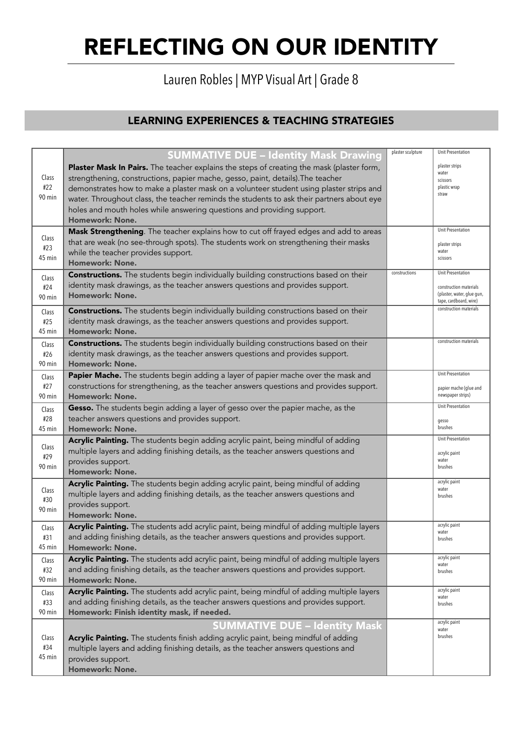# Lauren Robles | MYP Visual Art | Grade 8

|        | <b>SUMMATIVE DUE - Identity Mask Drawing</b>                                                | plaster sculpture | Unit Presentation                           |
|--------|---------------------------------------------------------------------------------------------|-------------------|---------------------------------------------|
|        |                                                                                             |                   | plaster strips                              |
|        | Plaster Mask In Pairs. The teacher explains the steps of creating the mask (plaster form,   |                   | water                                       |
| Class  | strengthening, constructions, papier mache, gesso, paint, details). The teacher             |                   | scissors                                    |
| #22    | demonstrates how to make a plaster mask on a volunteer student using plaster strips and     |                   | plastic wrap<br>straw                       |
| 90 min | water. Throughout class, the teacher reminds the students to ask their partners about eye   |                   |                                             |
|        | holes and mouth holes while answering questions and providing support.                      |                   |                                             |
|        | Homework: None.                                                                             |                   |                                             |
|        | Mask Strengthening. The teacher explains how to cut off frayed edges and add to areas       |                   | Unit Presentation                           |
| Class  | that are weak (no see-through spots). The students work on strengthening their masks        |                   | plaster strips                              |
| #23    | while the teacher provides support.                                                         |                   | water                                       |
| 45 min | <b>Homework: None.</b>                                                                      |                   | scissors                                    |
| Class  | <b>Constructions.</b> The students begin individually building constructions based on their | constructions     | Unit Presentation                           |
| #24    | identity mask drawings, as the teacher answers questions and provides support.              |                   | construction materials                      |
|        | <b>Homework: None.</b>                                                                      |                   | (plaster, water, glue gun,                  |
| 90 min |                                                                                             |                   | tape, cardboard, wire)                      |
| Class  | <b>Constructions.</b> The students begin individually building constructions based on their |                   | construction materials                      |
| #25    | identity mask drawings, as the teacher answers questions and provides support.              |                   |                                             |
| 45 min | <b>Homework: None.</b>                                                                      |                   |                                             |
| Class  | <b>Constructions.</b> The students begin individually building constructions based on their |                   | construction materials                      |
| #26    | identity mask drawings, as the teacher answers questions and provides support.              |                   |                                             |
| 90 min | <b>Homework: None.</b>                                                                      |                   |                                             |
| Class  | Papier Mache. The students begin adding a layer of papier mache over the mask and           |                   | <b>Unit Presentation</b>                    |
| #27    | constructions for strengthening, as the teacher answers questions and provides support.     |                   |                                             |
| 90 min | Homework: None.                                                                             |                   | papier mache (glue and<br>newspaper strips) |
|        |                                                                                             |                   | Unit Presentation                           |
| Class  | Gesso. The students begin adding a layer of gesso over the papier mache, as the             |                   |                                             |
| #28    | teacher answers questions and provides support.                                             |                   | gesso                                       |
| 45 min | <b>Homework: None.</b>                                                                      |                   | brushes                                     |
| Class  | Acrylic Painting. The students begin adding acrylic paint, being mindful of adding          |                   | Unit Presentation                           |
| #29    | multiple layers and adding finishing details, as the teacher answers questions and          |                   | acrylic paint                               |
| 90 min | provides support.                                                                           |                   | water                                       |
|        | <b>Homework: None.</b>                                                                      |                   | brushes                                     |
|        | Acrylic Painting. The students begin adding acrylic paint, being mindful of adding          |                   | acrylic paint                               |
| Class  | multiple layers and adding finishing details, as the teacher answers questions and          |                   | water<br>brushes                            |
| #30    | provides support.                                                                           |                   |                                             |
| 90 min | <b>Homework: None.</b>                                                                      |                   |                                             |
| Class  | Acrylic Painting. The students add acrylic paint, being mindful of adding multiple layers   |                   | acrylic paint                               |
| #31    | and adding finishing details, as the teacher answers questions and provides support.        |                   | water<br>brushes                            |
| 45 min | <b>Homework: None.</b>                                                                      |                   |                                             |
|        | Acrylic Painting. The students add acrylic paint, being mindful of adding multiple layers   |                   | acrylic paint                               |
| Class  | and adding finishing details, as the teacher answers questions and provides support.        |                   | water                                       |
| #32    |                                                                                             |                   | brushes                                     |
| 90 min | Homework: None.                                                                             |                   | acrylic paint                               |
| Class  | Acrylic Painting. The students add acrylic paint, being mindful of adding multiple layers   |                   | water                                       |
| #33    | and adding finishing details, as the teacher answers questions and provides support.        |                   | brushes                                     |
| 90 min | Homework: Finish identity mask, if needed.                                                  |                   |                                             |
|        | <b>SUMMATIVE DUE - Identity Mask</b>                                                        |                   | acrylic paint<br>water                      |
| Class  | Acrylic Painting. The students finish adding acrylic paint, being mindful of adding         |                   | brushes                                     |
| #34    | multiple layers and adding finishing details, as the teacher answers questions and          |                   |                                             |
| 45 min | provides support.                                                                           |                   |                                             |
|        | Homework: None.                                                                             |                   |                                             |
|        |                                                                                             |                   |                                             |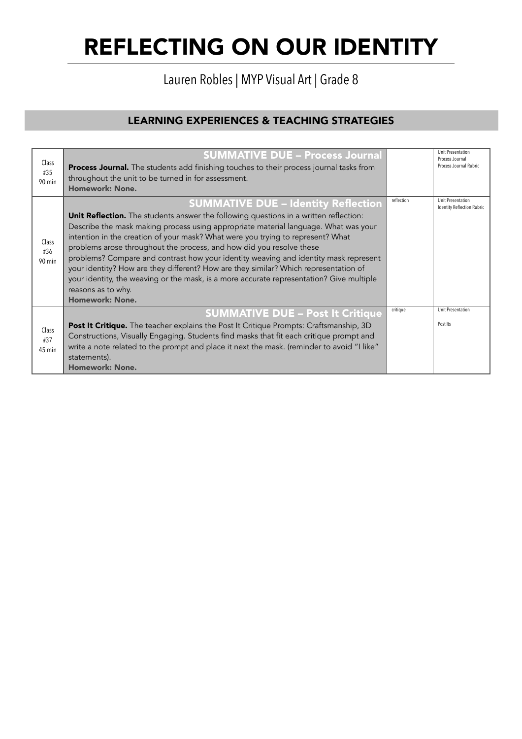Lauren Robles | MYP Visual Art | Grade 8

| Class<br>#35<br>90 min   | <b>SUMMATIVE DUE - Process Journal</b><br>Process Journal. The students add finishing touches to their process journal tasks from<br>throughout the unit to be turned in for assessment.<br>Homework: None.                                                                                                                                                                                                                                                                                                                                                                                                                                                                                                              |            | <b>Unit Presentation</b><br>Process Journal<br>Process Journal Rubric |
|--------------------------|--------------------------------------------------------------------------------------------------------------------------------------------------------------------------------------------------------------------------------------------------------------------------------------------------------------------------------------------------------------------------------------------------------------------------------------------------------------------------------------------------------------------------------------------------------------------------------------------------------------------------------------------------------------------------------------------------------------------------|------------|-----------------------------------------------------------------------|
| Class<br>#36<br>90 min   | <b>SUMMATIVE DUE - Identity Reflection</b><br><b>Unit Reflection.</b> The students answer the following questions in a written reflection:<br>Describe the mask making process using appropriate material language. What was your<br>intention in the creation of your mask? What were you trying to represent? What<br>problems arose throughout the process, and how did you resolve these<br>problems? Compare and contrast how your identity weaving and identity mask represent<br>your identity? How are they different? How are they similar? Which representation of<br>your identity, the weaving or the mask, is a more accurate representation? Give multiple<br>reasons as to why.<br><b>Homework: None.</b> | reflection | <b>Unit Presentation</b><br><b>Identity Reflection Rubric</b>         |
|                          | <b>SUMMATIVE DUE - Post It Critique</b>                                                                                                                                                                                                                                                                                                                                                                                                                                                                                                                                                                                                                                                                                  | critique   | <b>Unit Presentation</b>                                              |
| Class<br>#37<br>$45$ min | Post It Critique. The teacher explains the Post It Critique Prompts: Craftsmanship, 3D<br>Constructions, Visually Engaging. Students find masks that fit each critique prompt and<br>write a note related to the prompt and place it next the mask. (reminder to avoid "I like"<br>statements).<br>Homework: None.                                                                                                                                                                                                                                                                                                                                                                                                       |            | Post Its                                                              |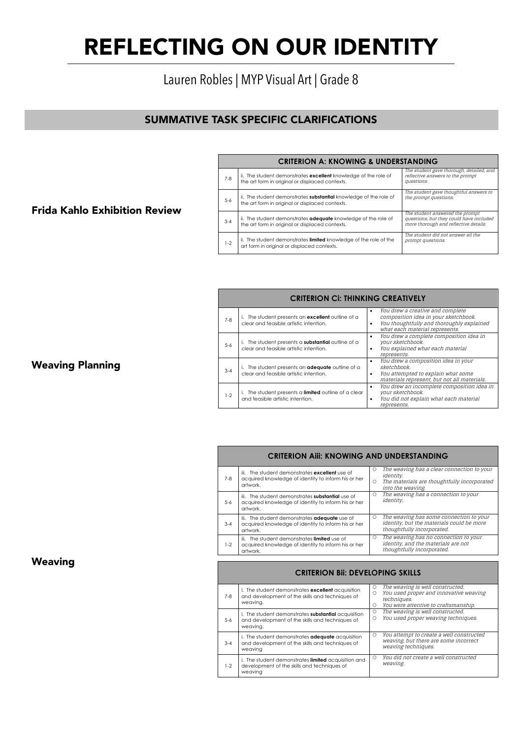### REFLECTING ON OUR IDENTITY  $\mathbf{M}$ **CRITERION CI: THINKING CRITERION CONTRACTOR**

# Lauren Robles | MYP Visual Art | Grade 8

#### SUMMATIVE TASK SPECIFIC CLARIFICATIONS • You drew a composition idea in your

5-6 i. The student presents a **substantial** outline of a

3-4 i. The student presents an **adequate** outline of a

### Frida Kahlo Exhibition Review

|         | <b>CRITERION A: KNOWING &amp; UNDERSTANDING</b>                                                                             |                                                                                                                     |  |  |  |
|---------|-----------------------------------------------------------------------------------------------------------------------------|---------------------------------------------------------------------------------------------------------------------|--|--|--|
| $7 - 8$ | ii. The student demonstrates excellent knowledge of the role of<br>the art form in original or displaced contexts.          | The student gave thorough, detailed, and<br>reflective answers to the prompt<br>questions.                          |  |  |  |
| $5 - 6$ | ii. The student demonstrates <b>substantial</b> knowledge of the role of<br>the art form in original or displaced contexts. | The student gave thoughtful answers to<br>the prompt questions.                                                     |  |  |  |
| $3 - 4$ | ii. The student demonstrates <b>adequate</b> knowledge of the role of<br>the art form in original or displaced contexts.    | The student answered the prompt<br>questions, but they could have included<br>more thorough and reflective details. |  |  |  |
| $1-2$   | ii. The student demonstrates limited knowledge of the role of the<br>art form in original or displaced contexts.            | The student did not answer all the<br>prompt questions.                                                             |  |  |  |
|         |                                                                                                                             |                                                                                                                     |  |  |  |

sketchbook.

|         | <b>CRITERION CI: THINKING CREATIVELY</b>                                                       |                                                                                                                                                                           |  |  |
|---------|------------------------------------------------------------------------------------------------|---------------------------------------------------------------------------------------------------------------------------------------------------------------------------|--|--|
| $7-8$   | The student presents an excellent outline of a<br>clear and feasible artistic intention.       | You drew a creative and complete<br>$\bullet$<br>composition idea in your sketchbook.<br>You thoughtfully and thoroughly explained<br>٠<br>what each material represents. |  |  |
| $5-6$   | The student presents a substantial outline of a<br>clear and feasible artistic intention.      | You drew a complete composition idea in<br>٠<br>your sketchbook.<br>You explained what each material<br>٠<br>represents.                                                  |  |  |
| $3 - 4$ | The student presents an <b>adequate</b> outline of a<br>clear and feasible artistic intention. | You drew a composition idea in your<br>٠<br>sketchbook.<br>You attempted to explain what some<br>٠<br>materials represent, but not all materials.                         |  |  |
| $1-2$   | The student presents a limited outline of a clear<br>and feasible artistic intention.          | You drew an incomplete composition idea in<br>٠<br>your sketchbook.<br>You did not explain what each material<br>$\bullet$<br>represents.                                 |  |  |
|         |                                                                                                |                                                                                                                                                                           |  |  |

|          | <b>CRITERION AIII: KNOWING AND UNDERSTANDING</b>                                                                         |            |                                                                                                                                    |  |  |
|----------|--------------------------------------------------------------------------------------------------------------------------|------------|------------------------------------------------------------------------------------------------------------------------------------|--|--|
| $7-8$    | iii. The student demonstrates <b>excellent</b> use of<br>acquired knowledge of identity to inform his or her<br>artwork. | Ω<br>O     | The weaving has a clear connection to your<br><i>identity.</i><br>The materials are thoughtfully incorporated<br>into the weaving. |  |  |
| $-5 - 6$ | iii. The student demonstrates substantial use of<br>acquired knowledge of identity to inform his or her<br>artwork.      | $\bigcirc$ | The weaving has a connection to your<br><i>identity.</i>                                                                           |  |  |
| $3 - 4$  | iii. The student demonstrates adequate use of<br>acaujred knowledge of identity to inform his or her<br>artwork.         | O          | The weaving has some connection to your<br>identity, but the materials could be more<br>thoughtfully incorporated.                 |  |  |
| $1-2$    | iii. The student demonstrates limited use of<br>acquired knowledge of identity to inform his or her<br>artwork.          | $\circ$    | The weaving has no connection to your<br>identity, and the materials are not<br>thoughtfully incorporated.                         |  |  |

|         | <b>CRITERION BII: DEVELOPING SKILLS</b>                                                                              |                   |                                                                                                                                   |  |  |
|---------|----------------------------------------------------------------------------------------------------------------------|-------------------|-----------------------------------------------------------------------------------------------------------------------------------|--|--|
| $7-8$   | i. The student demonstrates excellent acquisition<br>and development of the skills and techniques of<br>weavina.     | $\circ$<br>Ω<br>Ο | The weaving is well constructed.<br>You used proper and innovative weaving<br>techniques.<br>You were attentive to craftsmanship. |  |  |
| $5 - 6$ | i. The student demonstrates substantial acquisition<br>and development of the skills and techniques of<br>weaving.   | $\bigcirc$<br>Ω   | The weaving is well constructed.<br>You used proper weaving techniques.                                                           |  |  |
| $3 - 4$ | i. The student demonstrates adequate acquisition<br>and development of the skills and techniques of<br>weavina       | $\bigcirc$        | You attempt to create a well constructed<br>weaving, but there are some incorrect<br>weaving techniques.                          |  |  |
| $1-2$   | i. The student demonstrates <b>limited</b> acquisition and<br>development of the skills and techniques of<br>weavina | ∩                 | You did not create a well constructed<br>weaving.                                                                                 |  |  |

### Weaving Planning

Weaving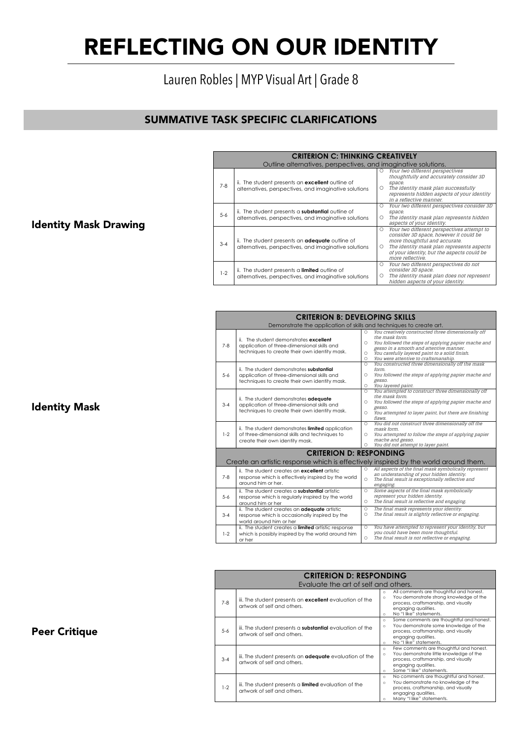## REFLECTING ON OUR IDENTITY  $\blacksquare$

## Lauren Robles | MYP Visual Art | Grade 8

## SUMMATIVE TASK SPECIFIC CLARIFICATIONS

|         | <b>CRITERION C: THINKING CREATIVELY</b>                                                                           |              |                                                                                                                                                                                                                                      |
|---------|-------------------------------------------------------------------------------------------------------------------|--------------|--------------------------------------------------------------------------------------------------------------------------------------------------------------------------------------------------------------------------------------|
|         | Outline alternatives, perspectives, and imaginative solutions.                                                    |              |                                                                                                                                                                                                                                      |
| $7 - 8$ | ii. The student presents an <b>excellent</b> outline of<br>alternatives, perspectives, and imaginative solutions  | $\circ$<br>Ω | Your two different perspectives<br>thoughtfully and accurately consider 3D<br>space.<br>The identity mask plan successfully<br>represents hidden aspects of your identity<br>in a reflective manner.                                 |
| $5 - 6$ | ii. The student presents a <b>substantial</b> outline of<br>alternatives, perspectives, and imaginative solutions | Ω<br>Ω       | Your two different perspectives consider 3D<br>space.<br>The identity mask plan represents hidden<br>aspects of your identity.                                                                                                       |
| $3 - 4$ | ii. The student presents an <b>adequate</b> outline of<br>alternatives, perspectives, and imaginative solutions   | O<br>Ω       | Your two different perspectives attempt to<br>consider 3D space, however it could be<br>more thoughtful and accurate.<br>The identity mask plan represents aspects<br>of your identity, but the aspects could be<br>more reflective. |
| $1-2$   | ii. The student presents a <b>limited</b> outline of<br>alternatives, perspectives, and imaginative solutions     | Ω<br>O       | Your two different perspectives do not<br>consider 3D space.<br>The identity mask plan does not represent<br>hidden aspects of your identity.                                                                                        |

MYP CRITERION RUBRIC

| <b>CRITERION B: DEVELOPING SKILLS</b><br>Demonstrate the application of skills and techniques to create art.<br>You creatively constructed three dimensionally off<br>0<br>the mask form.<br>ii. The student demonstrates excellent<br>Ω<br>$7 - 8$<br>application of three-dimensional skills and<br>gesso in a smooth and attentive manner.<br>techniques to create their own identity mask.<br>You carefully layered paint to a solid finish.<br>O<br>You were attentive to craftsmanship.<br>O<br>You constructed three dimensionally off the mask<br>O<br>ii. The student demonstrates substantial<br>form.<br>$5 - 6$<br>application of three-dimensional skills and<br>O<br>gesso.<br>techniques to create their own identity mask.<br>You layered paint.<br>O<br>You attempted to construct three dimensionally off<br>0<br>the mask form.<br>ii. The student demonstrates adequate<br>O<br>$3 - 4$<br>application of three-dimensional skills and<br>gesso.<br>techniques to create their own identity mask.<br>You attempted to layer paint, but there are finishing<br>O<br>flaws.<br>You did not construct three dimensionally off the<br>O<br>ii. The student demonstrates limited application<br>mask form.<br>of three-dimensional skills and techniques to<br>$1 - 2$<br>You attempted to follow the steps of applying papier<br>Ω<br>mache and gesso.<br>create their own identity mask.<br>You did not attempt to layer paint.<br>0<br><b>CRITERION D: RESPONDING</b><br>Create an artistic response which is effectively inspired by the world around them.<br>All aspects of the final mask symbolically represent<br>O<br>ii. The student creates an excellent artistic<br>an understanding of your hidden identity.<br>$7 - 8$<br>response which is effectively inspired by the world<br>The final result is exceptionally reflective and<br>O<br>around him or her.<br>engaging.<br>Some aspects of the final mask symbolically<br>ii. The student creates a substantial artistic.<br>O<br>represent your hidden identity.<br>$5 - 6$<br>response which is regularly inspired by the world<br>The final result is reflective and engaging.<br>$\circ$<br>around him or her<br>The final mask represents your identity.<br>ii. The student creates an adequate artistic<br>O<br>The final result is slightly reflective or engaging.<br>O<br>$3 - 4$<br>response which is occasionally inspired by the<br>world around him or her<br>You have attempted to represent your identity, but<br>ii. The student creates a limited artistic response<br>O<br>you could have been more thoughtful.<br>$1 - 2$<br>which is possibly inspired by the world around him<br>The final result is not reflective or engaging.<br>0 |  |        |  |                                                     |  |  |  |
|--------------------------------------------------------------------------------------------------------------------------------------------------------------------------------------------------------------------------------------------------------------------------------------------------------------------------------------------------------------------------------------------------------------------------------------------------------------------------------------------------------------------------------------------------------------------------------------------------------------------------------------------------------------------------------------------------------------------------------------------------------------------------------------------------------------------------------------------------------------------------------------------------------------------------------------------------------------------------------------------------------------------------------------------------------------------------------------------------------------------------------------------------------------------------------------------------------------------------------------------------------------------------------------------------------------------------------------------------------------------------------------------------------------------------------------------------------------------------------------------------------------------------------------------------------------------------------------------------------------------------------------------------------------------------------------------------------------------------------------------------------------------------------------------------------------------------------------------------------------------------------------------------------------------------------------------------------------------------------------------------------------------------------------------------------------------------------------------------------------------------------------------------------------------------------------------------------------------------------------------------------------------------------------------------------------------------------------------------------------------------------------------------------------------------------------------------------------------------------------------------------------------------------------------------------------------------------------------------------------------------------------------------------------------------------------------------------------------------------------------|--|--------|--|-----------------------------------------------------|--|--|--|
|                                                                                                                                                                                                                                                                                                                                                                                                                                                                                                                                                                                                                                                                                                                                                                                                                                                                                                                                                                                                                                                                                                                                                                                                                                                                                                                                                                                                                                                                                                                                                                                                                                                                                                                                                                                                                                                                                                                                                                                                                                                                                                                                                                                                                                                                                                                                                                                                                                                                                                                                                                                                                                                                                                                                            |  |        |  |                                                     |  |  |  |
|                                                                                                                                                                                                                                                                                                                                                                                                                                                                                                                                                                                                                                                                                                                                                                                                                                                                                                                                                                                                                                                                                                                                                                                                                                                                                                                                                                                                                                                                                                                                                                                                                                                                                                                                                                                                                                                                                                                                                                                                                                                                                                                                                                                                                                                                                                                                                                                                                                                                                                                                                                                                                                                                                                                                            |  |        |  | You followed the steps of applying papier mache and |  |  |  |
|                                                                                                                                                                                                                                                                                                                                                                                                                                                                                                                                                                                                                                                                                                                                                                                                                                                                                                                                                                                                                                                                                                                                                                                                                                                                                                                                                                                                                                                                                                                                                                                                                                                                                                                                                                                                                                                                                                                                                                                                                                                                                                                                                                                                                                                                                                                                                                                                                                                                                                                                                                                                                                                                                                                                            |  |        |  | You followed the steps of applying papier mache and |  |  |  |
|                                                                                                                                                                                                                                                                                                                                                                                                                                                                                                                                                                                                                                                                                                                                                                                                                                                                                                                                                                                                                                                                                                                                                                                                                                                                                                                                                                                                                                                                                                                                                                                                                                                                                                                                                                                                                                                                                                                                                                                                                                                                                                                                                                                                                                                                                                                                                                                                                                                                                                                                                                                                                                                                                                                                            |  |        |  | You followed the steps of applying papier mache and |  |  |  |
|                                                                                                                                                                                                                                                                                                                                                                                                                                                                                                                                                                                                                                                                                                                                                                                                                                                                                                                                                                                                                                                                                                                                                                                                                                                                                                                                                                                                                                                                                                                                                                                                                                                                                                                                                                                                                                                                                                                                                                                                                                                                                                                                                                                                                                                                                                                                                                                                                                                                                                                                                                                                                                                                                                                                            |  |        |  |                                                     |  |  |  |
|                                                                                                                                                                                                                                                                                                                                                                                                                                                                                                                                                                                                                                                                                                                                                                                                                                                                                                                                                                                                                                                                                                                                                                                                                                                                                                                                                                                                                                                                                                                                                                                                                                                                                                                                                                                                                                                                                                                                                                                                                                                                                                                                                                                                                                                                                                                                                                                                                                                                                                                                                                                                                                                                                                                                            |  |        |  |                                                     |  |  |  |
|                                                                                                                                                                                                                                                                                                                                                                                                                                                                                                                                                                                                                                                                                                                                                                                                                                                                                                                                                                                                                                                                                                                                                                                                                                                                                                                                                                                                                                                                                                                                                                                                                                                                                                                                                                                                                                                                                                                                                                                                                                                                                                                                                                                                                                                                                                                                                                                                                                                                                                                                                                                                                                                                                                                                            |  |        |  |                                                     |  |  |  |
|                                                                                                                                                                                                                                                                                                                                                                                                                                                                                                                                                                                                                                                                                                                                                                                                                                                                                                                                                                                                                                                                                                                                                                                                                                                                                                                                                                                                                                                                                                                                                                                                                                                                                                                                                                                                                                                                                                                                                                                                                                                                                                                                                                                                                                                                                                                                                                                                                                                                                                                                                                                                                                                                                                                                            |  |        |  |                                                     |  |  |  |
|                                                                                                                                                                                                                                                                                                                                                                                                                                                                                                                                                                                                                                                                                                                                                                                                                                                                                                                                                                                                                                                                                                                                                                                                                                                                                                                                                                                                                                                                                                                                                                                                                                                                                                                                                                                                                                                                                                                                                                                                                                                                                                                                                                                                                                                                                                                                                                                                                                                                                                                                                                                                                                                                                                                                            |  |        |  |                                                     |  |  |  |
|                                                                                                                                                                                                                                                                                                                                                                                                                                                                                                                                                                                                                                                                                                                                                                                                                                                                                                                                                                                                                                                                                                                                                                                                                                                                                                                                                                                                                                                                                                                                                                                                                                                                                                                                                                                                                                                                                                                                                                                                                                                                                                                                                                                                                                                                                                                                                                                                                                                                                                                                                                                                                                                                                                                                            |  |        |  |                                                     |  |  |  |
|                                                                                                                                                                                                                                                                                                                                                                                                                                                                                                                                                                                                                                                                                                                                                                                                                                                                                                                                                                                                                                                                                                                                                                                                                                                                                                                                                                                                                                                                                                                                                                                                                                                                                                                                                                                                                                                                                                                                                                                                                                                                                                                                                                                                                                                                                                                                                                                                                                                                                                                                                                                                                                                                                                                                            |  | or her |  |                                                     |  |  |  |

|         | <b>CRITERION D: RESPONDING</b><br>Evaluate the art of self and others.                          |                                                                                 |                                                                                                                                                         |  |  |
|---------|-------------------------------------------------------------------------------------------------|---------------------------------------------------------------------------------|---------------------------------------------------------------------------------------------------------------------------------------------------------|--|--|
|         |                                                                                                 | $\circ$<br>$\circ$                                                              | All comments are thoughtful and honest.<br>You demonstrate strong knowledge of the                                                                      |  |  |
| $7 - 8$ | iii. The student presents an <b>excellent</b> evaluation of the<br>artwork of self and others.  | engaging qualities.<br>No "I like" statements.<br>$\circ$                       | process, craftsmanship, and visually                                                                                                                    |  |  |
| $5 - 6$ | iii. The student presents a <b>substantial</b> evaluation of the<br>artwork of self and others. | $\circ$<br>$\circ$<br>engaging qualities.<br>No "I like" statements.<br>$\circ$ | Some comments are thoughtful and honest.<br>You demonstrate some knowledge of the<br>process, craftsmanship, and visually                               |  |  |
| $3 - 4$ | iii. The student presents an <b>adequate</b> evaluation of the<br>artwork of self and others.   | $\circ$<br>$\circ$<br>engaging qualities.<br>$\circ$                            | Few comments are thoughtful and honest.<br>You demonstrate little knowledge of the<br>process, craftsmanship, and visually<br>Some "I like" statements. |  |  |
| $1-2$   | iii. The student presents a <b>limited</b> evaluation of the<br>artwork of self and others.     | $\circ$<br>$\circ$<br>engaging qualities.<br>$\Omega$                           | No comments are thoughtful and honest.<br>You demonstrate no knowledge of the<br>process, craftsmanship, and visually<br>Many "I like" statements.      |  |  |

### Identity Mask Drawing

Identity Mask

Peer Critique